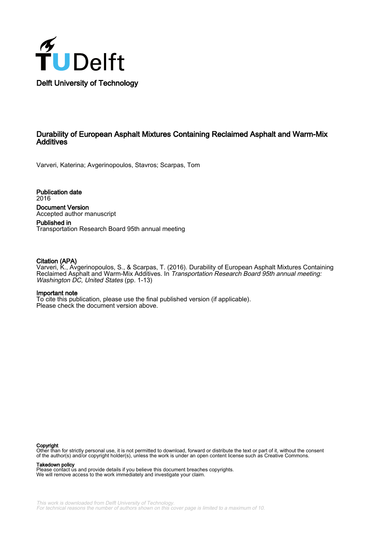

# Durability of European Asphalt Mixtures Containing Reclaimed Asphalt and Warm-Mix **Additives**

Varveri, Katerina; Avgerinopoulos, Stavros; Scarpas, Tom

Publication date 2016 Document Version Accepted author manuscript

Published in Transportation Research Board 95th annual meeting

#### Citation (APA)

Varveri, K., Avgerinopoulos, S., & Scarpas, T. (2016). Durability of European Asphalt Mixtures Containing Reclaimed Asphalt and Warm-Mix Additives. In Transportation Research Board 95th annual meeting: Washington DC, United States (pp. 1-13)

#### Important note

To cite this publication, please use the final published version (if applicable). Please check the document version above.

#### Copyright

Other than for strictly personal use, it is not permitted to download, forward or distribute the text or part of it, without the consent of the author(s) and/or copyright holder(s), unless the work is under an open content license such as Creative Commons.

#### Takedown policy

Please contact us and provide details if you believe this document breaches copyrights. We will remove access to the work immediately and investigate your claim.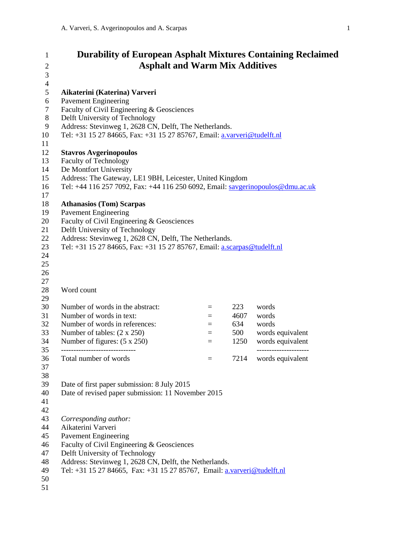| $\mathbf{1}$   | <b>Durability of European Asphalt Mixtures Containing Reclaimed</b>            |     |      |                  |
|----------------|--------------------------------------------------------------------------------|-----|------|------------------|
| $\overline{2}$ | <b>Asphalt and Warm Mix Additives</b>                                          |     |      |                  |
| $\mathfrak{Z}$ |                                                                                |     |      |                  |
| $\overline{4}$ |                                                                                |     |      |                  |
| 5              | Aikaterini (Katerina) Varveri                                                  |     |      |                  |
| 6              | <b>Pavement Engineering</b>                                                    |     |      |                  |
| $\tau$         | Faculty of Civil Engineering & Geosciences                                     |     |      |                  |
| 8              | Delft University of Technology                                                 |     |      |                  |
| 9              | Address: Stevinweg 1, 2628 CN, Delft, The Netherlands.                         |     |      |                  |
| 10             | Tel: +31 15 27 84665, Fax: +31 15 27 85767, Email: a.varveri@tudelft.nl        |     |      |                  |
| 11             |                                                                                |     |      |                  |
| 12             | <b>Stavros Avgerinopoulos</b>                                                  |     |      |                  |
| 13             | <b>Faculty of Technology</b>                                                   |     |      |                  |
| 14             | De Montfort University                                                         |     |      |                  |
| 15             | Address: The Gateway, LE1 9BH, Leicester, United Kingdom                       |     |      |                  |
| 16             | Tel: +44 116 257 7092, Fax: +44 116 250 6092, Email: savgerinopoulos@dmu.ac.uk |     |      |                  |
| 17             |                                                                                |     |      |                  |
| 18             | <b>Athanasios (Tom) Scarpas</b>                                                |     |      |                  |
| 19             | <b>Pavement Engineering</b>                                                    |     |      |                  |
| 20             | Faculty of Civil Engineering & Geosciences                                     |     |      |                  |
| 21             | Delft University of Technology                                                 |     |      |                  |
| 22             | Address: Stevinweg 1, 2628 CN, Delft, The Netherlands.                         |     |      |                  |
| 23             | Tel: +31 15 27 84665, Fax: +31 15 27 85767, Email: a.scarpas@tudelft.nl        |     |      |                  |
| 24             |                                                                                |     |      |                  |
| 25             |                                                                                |     |      |                  |
| 26             |                                                                                |     |      |                  |
| 27             |                                                                                |     |      |                  |
| 28<br>29       | Word count                                                                     |     |      |                  |
| 30             | Number of words in the abstract:                                               | $=$ | 223  | words            |
| 31             | Number of words in text:                                                       | $=$ | 4607 | words            |
| 32             | Number of words in references:                                                 | $=$ | 634  | words            |
| 33             | Number of tables: $(2 \times 250)$                                             | $=$ | 500  | words equivalent |
| 34             | Number of figures: $(5 \times 250)$                                            | $=$ | 1250 | words equivalent |
| 35             |                                                                                |     |      |                  |
| 36             | Total number of words                                                          | $=$ | 7214 | words equivalent |
| 37             |                                                                                |     |      |                  |
| 38             |                                                                                |     |      |                  |
| 39             | Date of first paper submission: 8 July 2015                                    |     |      |                  |
| 40             | Date of revised paper submission: 11 November 2015                             |     |      |                  |
| 41             |                                                                                |     |      |                  |
| 42             |                                                                                |     |      |                  |
| 43             | Corresponding author:                                                          |     |      |                  |
| 44             | Aikaterini Varveri                                                             |     |      |                  |
| 45             | <b>Pavement Engineering</b>                                                    |     |      |                  |
| 46             | Faculty of Civil Engineering & Geosciences                                     |     |      |                  |
| 47             | Delft University of Technology                                                 |     |      |                  |
| 48             | Address: Stevinweg 1, 2628 CN, Delft, the Netherlands.                         |     |      |                  |
| 49             | Tel: +31 15 27 84665, Fax: +31 15 27 85767, Email: a.varveri@tudelft.nl        |     |      |                  |
| 50             |                                                                                |     |      |                  |
| 51             |                                                                                |     |      |                  |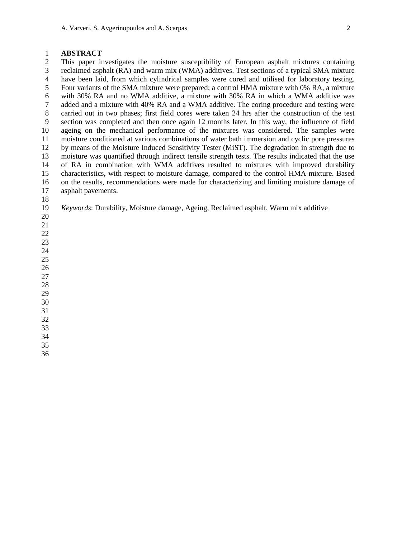### **ABSTRACT**

 This paper investigates the moisture susceptibility of European asphalt mixtures containing reclaimed asphalt (RA) and warm mix (WMA) additives. Test sections of a typical SMA mixture have been laid, from which cylindrical samples were cored and utilised for laboratory testing. Four variants of the SMA mixture were prepared; a control HMA mixture with 0% RA, a mixture with 30% RA and no WMA additive, a mixture with 30% RA in which a WMA additive was added and a mixture with 40% RA and a WMA additive. The coring procedure and testing were carried out in two phases; first field cores were taken 24 hrs after the construction of the test section was completed and then once again 12 months later. In this way, the influence of field ageing on the mechanical performance of the mixtures was considered. The samples were moisture conditioned at various combinations of water bath immersion and cyclic pore pressures by means of the Moisture Induced Sensitivity Tester (MiST). The degradation in strength due to 13 moisture was quantified through indirect tensile strength tests. The results indicated that the use<br>14 of RA in combination with WMA additives resulted to mixtures with improved durability of RA in combination with WMA additives resulted to mixtures with improved durability characteristics, with respect to moisture damage, compared to the control HMA mixture. Based on the results, recommendations were made for characterizing and limiting moisture damage of asphalt pavements.

- *Keywords*: Durability, Moisture damage, Ageing, Reclaimed asphalt, Warm mix additive
- 

- 
- 
- 
- 
- 
- 
- 
- 
- 
- 

 

>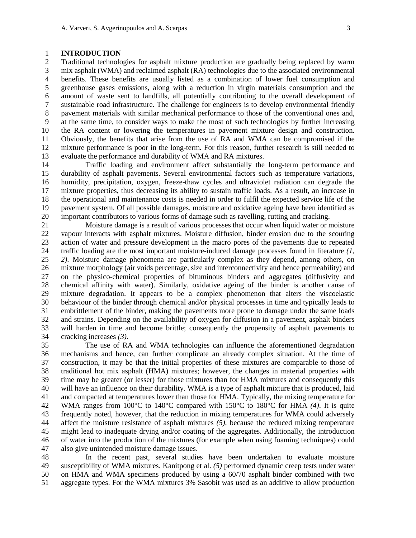### **INTRODUCTION**

 Traditional technologies for asphalt mixture production are gradually being replaced by warm mix asphalt (WMA) and reclaimed asphalt (RA) technologies due to the associated environmental benefits. These benefits are usually listed as a combination of lower fuel consumption and greenhouse gases emissions, along with a reduction in virgin materials consumption and the amount of waste sent to landfills, all potentially contributing to the overall development of sustainable road infrastructure. The challenge for engineers is to develop environmental friendly pavement materials with similar mechanical performance to those of the conventional ones and, at the same time, to consider ways to make the most of such technologies by further increasing the RA content or lowering the temperatures in pavement mixture design and construction. Obviously, the benefits that arise from the use of RA and WMA can be compromised if the mixture performance is poor in the long-term. For this reason, further research is still needed to 13 evaluate the performance and durability of WMA and RA mixtures.<br>14 Traffic loading and environment affect substantially the

 Traffic loading and environment affect substantially the long-term performance and durability of asphalt pavements. Several environmental factors such as temperature variations, humidity, precipitation, oxygen, freeze-thaw cycles and ultraviolet radiation can degrade the mixture properties, thus decreasing its ability to sustain traffic loads. As a result, an increase in the operational and maintenance costs is needed in order to fulfil the expected service life of the pavement system. Of all possible damages, moisture and oxidative ageing have been identified as 20 important contributors to various forms of damage such as ravelling, rutting and cracking.<br>21 Moisture damage is a result of various processes that occur when liquid water or n

 Moisture damage is a result of various processes that occur when liquid water or moisture vapour interacts with asphalt mixtures. Moisture diffusion, binder erosion due to the scouring action of water and pressure development in the macro pores of the pavements due to repeated traffic loading are the most important moisture-induced damage processes found in literature *(1, 2)*. Moisture damage phenomena are particularly complex as they depend, among others, on 26 mixture morphology (air voids percentage, size and interconnectivity and hence permeability) and<br>27 on the physico-chemical properties of bituminous binders and aggregates (diffusivity and on the physico-chemical properties of bituminous binders and aggregates (diffusivity and chemical affinity with water). Similarly, oxidative ageing of the binder is another cause of mixture degradation. It appears to be a complex phenomenon that alters the viscoelastic behaviour of the binder through chemical and/or physical processes in time and typically leads to embrittlement of the binder, making the pavements more prone to damage under the same loads and strains. Depending on the availability of oxygen for diffusion in a pavement, asphalt binders will harden in time and become brittle; consequently the propensity of asphalt pavements to cracking increases *(3)*.

 The use of RA and WMA technologies can influence the aforementioned degradation mechanisms and hence, can further complicate an already complex situation. At the time of construction, it may be that the initial properties of these mixtures are comparable to those of traditional hot mix asphalt (HMA) mixtures; however, the changes in material properties with time may be greater (or lesser) for those mixtures than for HMA mixtures and consequently this will have an influence on their durability. WMA is a type of asphalt mixture that is produced, laid and compacted at temperatures lower than those for HMA. Typically, the mixing temperature for WMA ranges from 100°C to 140°C compared with 150°C to 180°C for HMA *(4)*. It is quite frequently noted, however, that the reduction in mixing temperatures for WMA could adversely affect the moisture resistance of asphalt mixtures *(5)*, because the reduced mixing temperature might lead to inadequate drying and/or coating of the aggregates. Additionally, the introduction of water into the production of the mixtures (for example when using foaming techniques) could also give unintended moisture damage issues.

 In the recent past, several studies have been undertaken to evaluate moisture susceptibility of WMA mixtures. Kanitpong et al. *(5)* performed dynamic creep tests under water on HMA and WMA specimens produced by using a 60/70 asphalt binder combined with two aggregate types. For the WMA mixtures 3% Sasobit was used as an additive to allow production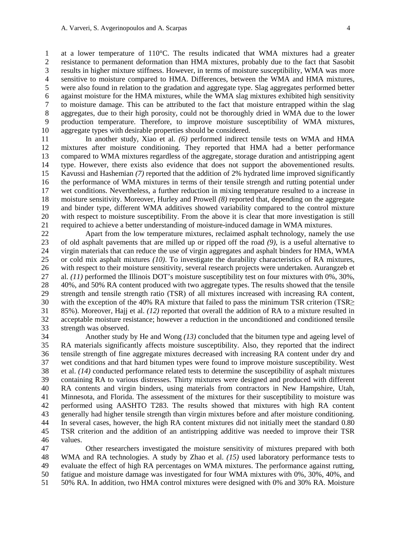at a lower temperature of 110°C. The results indicated that WMA mixtures had a greater resistance to permanent deformation than HMA mixtures, probably due to the fact that Sasobit results in higher mixture stiffness. However, in terms of moisture susceptibility, WMA was more sensitive to moisture compared to HMA. Differences, between the WMA and HMA mixtures, were also found in relation to the gradation and aggregate type. Slag aggregates performed better 6 against moisture for the HMA mixtures, while the WMA slag mixtures exhibited high sensitivity<br>7 to moisture damage. This can be attributed to the fact that moisture entrapped within the slag to moisture damage. This can be attributed to the fact that moisture entrapped within the slag aggregates, due to their high porosity, could not be thoroughly dried in WMA due to the lower production temperature. Therefore, to improve moisture susceptibility of WMA mixtures, aggregate types with desirable properties should be considered.

 In another study, Xiao et al. *(6)* performed indirect tensile tests on WMA and HMA mixtures after moisture conditioning. They reported that HMA had a better performance compared to WMA mixtures regardless of the aggregate, storage duration and antistripping agent type. However, there exists also evidence that does not support the abovementioned results. Kavussi and Hashemian *(7)* reported that the addition of 2% hydrated lime improved significantly the performance of WMA mixtures in terms of their tensile strength and rutting potential under wet conditions. Nevertheless, a further reduction in mixing temperature resulted to a increase in moisture sensitivity. Moreover, Hurley and Prowell *(8)* reported that, depending on the aggregate and binder type, different WMA additives showed variability compared to the control mixture 20 with respect to moisture susceptibility. From the above it is clear that more investigation is still required to achieve a better understanding of moisture-induced damage in WMA mixtures. required to achieve a better understanding of moisture-induced damage in WMA mixtures.

 Apart from the low temperature mixtures, reclaimed asphalt technology, namely the use of old asphalt pavements that are milled up or ripped off the road *(9)*, is a useful alternative to virgin materials that can reduce the use of virgin aggregates and asphalt binders for HMA, WMA or cold mix asphalt mixtures *(10)*. To investigate the durability characteristics of RA mixtures, 26 with respect to their moisture sensitivity, several research projects were undertaken. Aurangzeb et al. (11) performed the Illinois DOT's moisture susceptibility test on four mixtures with 0%, 30%, al. *(11)* performed the Illinois DOT's moisture susceptibility test on four mixtures with 0%, 30%, 40%, and 50% RA content produced with two aggregate types. The results showed that the tensile strength and tensile strength ratio (TSR) of all mixtures increased with increasing RA content, with the exception of the 40% RA mixture that failed to pass the minimum TSR criterion (TSR≥ 85%). Moreover, Hajj et al. *(12)* reported that overall the addition of RA to a mixture resulted in acceptable moisture resistance; however a reduction in the unconditioned and conditioned tensile strength was observed.

 Another study by He and Wong *(13)* concluded that the bitumen type and ageing level of RA materials significantly affects moisture susceptibility. Also, they reported that the indirect tensile strength of fine aggregate mixtures decreased with increasing RA content under dry and wet conditions and that hard bitumen types were found to improve moisture susceptibility. West et al. *(14)* conducted performance related tests to determine the susceptibility of asphalt mixtures containing RA to various distresses. Thirty mixtures were designed and produced with different RA contents and virgin binders, using materials from contractors in New Hampshire, Utah, Minnesota, and Florida. The assessment of the mixtures for their susceptibility to moisture was performed using AASHTO T283. The results showed that mixtures with high RA content generally had higher tensile strength than virgin mixtures before and after moisture conditioning. In several cases, however, the high RA content mixtures did not initially meet the standard 0.80 TSR criterion and the addition of an antistripping additive was needed to improve their TSR values.

 Other researchers investigated the moisture sensitivity of mixtures prepared with both WMA and RA technologies. A study by Zhao et al. *(15)* used laboratory performance tests to evaluate the effect of high RA percentages on WMA mixtures. The performance against rutting, fatigue and moisture damage was investigated for four WMA mixtures with 0%, 30%, 40%, and 50% RA. In addition, two HMA control mixtures were designed with 0% and 30% RA. Moisture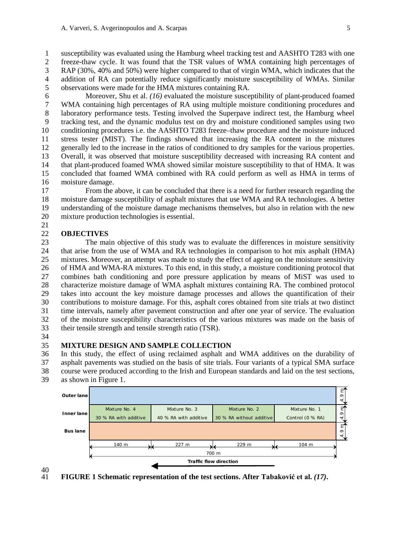susceptibility was evaluated using the Hamburg wheel tracking test and AASHTO T283 with one freeze-thaw cycle. It was found that the TSR values of WMA containing high percentages of RAP (30%, 40% and 50%) were higher compared to that of virgin WMA, which indicates that the addition of RA can potentially reduce significantly moisture susceptibility of WMAs. Similar observations were made for the HMA mixtures containing RA.

6 Moreover, Shu et al. *(16)* evaluated the moisture susceptibility of plant-produced foamed WMA containing high percentages of RA using multiple moisture conditioning procedures and WMA containing high percentages of RA using multiple moisture conditioning procedures and laboratory performance tests. Testing involved the Superpave indirect test, the Hamburg wheel tracking test, and the dynamic modulus test on dry and moisture conditioned samples using two conditioning procedures i.e. the AASHTO T283 freeze–thaw procedure and the moisture induced stress tester (MIST). The findings showed that increasing the RA content in the mixtures generally led to the increase in the ratios of conditioned to dry samples for the various properties. 13 Overall, it was observed that moisture susceptibility decreased with increasing RA content and<br>14 that plant-produced foamed WMA showed similar moisture susceptibility to that of HMA. It was that plant-produced foamed WMA showed similar moisture susceptibility to that of HMA. It was concluded that foamed WMA combined with RA could perform as well as HMA in terms of moisture damage.

 From the above, it can be concluded that there is a need for further research regarding the moisture damage susceptibility of asphalt mixtures that use WMA and RA technologies. A better understanding of the moisture damage mechanisms themselves, but also in relation with the new mixture production technologies is essential. 

### **OBJECTIVES**

 The main objective of this study was to evaluate the differences in moisture sensitivity that arise from the use of WMA and RA technologies in comparison to hot mix asphalt (HMA) mixtures. Moreover, an attempt was made to study the effect of ageing on the moisture sensitivity of HMA and WMA-RA mixtures. To this end, in this study, a moisture conditioning protocol that combines bath conditioning and pore pressure application by means of MiST was used to characterize moisture damage of WMA asphalt mixtures containing RA. The combined protocol takes into account the key moisture damage processes and allows the quantification of their contributions to moisture damage. For this, asphalt cores obtained from site trials at two distinct time intervals, namely after pavement construction and after one year of service. The evaluation of the moisture susceptibility characteristics of the various mixtures was made on the basis of their tensile strength and tensile strength ratio (TSR).

### **MIXTURE DESIGN AND SAMPLE COLLECTION**

 In this study, the effect of using reclaimed asphalt and WMA additives on the durability of asphalt pavements was studied on the basis of site trials. Four variants of a typical SMA surface course were produced according to the Irish and European standards and laid on the test sections, as shown in Figure 1.



40<br>41 **FIGURE 1 Schematic representation of the test sections. After Tabaković et al.** *(17)***.**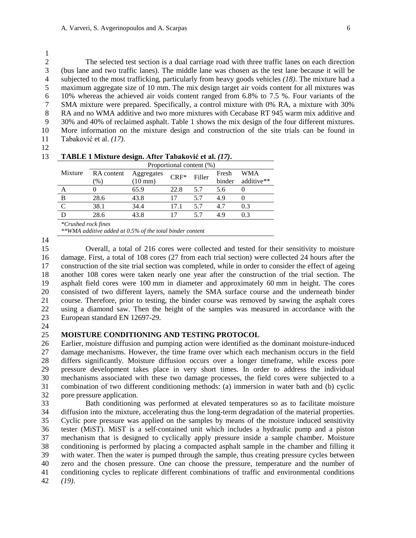$\frac{1}{2}$  The selected test section is a dual carriage road with three traffic lanes on each direction (bus lane and two traffic lanes). The middle lane was chosen as the test lane because it will be subjected to the most trafficking, particularly from heavy goods vehicles *(18)*. The mixture had a maximum aggregate size of 10 mm. The mix design target air voids content for all mixtures was 6 10% whereas the achieved air voids content ranged from 6.8% to 7.5 %. Four variants of the SMA mixture were prepared. Specifically, a control mixture with 0% RA, a mixture with 30% SMA mixture were prepared. Specifically, a control mixture with 0% RA, a mixture with 30% 8 RA and no WMA additive and two more mixtures with Cecabase RT 945 warm mix additive and 30% and 40% of reclaimed asphalt. Table 1 shows the mix design of the four different mixtures. More information on the mixture design and construction of the site trials can be found in Tabaković et al. *(17)*.

|         | Proportional content (%) |                      |      |        |        |            |  |
|---------|--------------------------|----------------------|------|--------|--------|------------|--|
| Mixture | RA content               | Aggregates<br>$CRF*$ |      | Filler | Fresh  | WMA        |  |
|         | $(\%)$                   | $(10 \text{ mm})$    |      |        | binder | additive** |  |
|         |                          | 65.9                 | 22.8 | 5.7    | 5.6    | $\left($   |  |
| В       | 28.6                     | 43.8                 | 17   | 5.7    | 4.9    |            |  |
|         | 38.1                     | 34.4                 | 17.1 | 5.7    | 4.7    | 0.3        |  |
|         | 28.6                     | 43.8                 | 17   | 5.7    | 4.9    | 0.3        |  |

*\*\*WMA additive added at 0.5% of the total binder content*

 Overall, a total of 216 cores were collected and tested for their sensitivity to moisture damage. First, a total of 108 cores (27 from each trial section) were collected 24 hours after the construction of the site trial section was completed, while in order to consider the effect of ageing another 108 cores were taken nearly one year after the construction of the trial section. The asphalt field cores were 100 mm in diameter and approximately 60 mm in height. The cores consisted of two different layers, namely the SMA surface course and the underneath binder course. Therefore, prior to testing, the binder course was removed by sawing the asphalt cores using a diamond saw. Then the height of the samples was measured in accordance with the European standard EN 12697-29.

### **MOISTURE CONDITIONING AND TESTING PROTOCOL**

 Earlier, moisture diffusion and pumping action were identified as the dominant moisture-induced damage mechanisms. However, the time frame over which each mechanism occurs in the field 28 differs significantly. Moisture diffusion occurs over a longer timeframe, while excess pore<br>29 pressure development takes place in very short times. In order to address the individual pressure development takes place in very short times. In order to address the individual mechanisms associated with these two damage processes, the field cores were subjected to a combination of two different conditioning methods: (a) immersion in water bath and (b) cyclic pore pressure application.

 Bath conditioning was performed at elevated temperatures so as to facilitate moisture diffusion into the mixture, accelerating thus the long-term degradation of the material properties. Cyclic pore pressure was applied on the samples by means of the moisture induced sensitivity tester (MiST). MiST is a self-contained unit which includes a hydraulic pump and a piston mechanism that is designed to cyclically apply pressure inside a sample chamber. Moisture conditioning is performed by placing a compacted asphalt sample in the chamber and filling it with water. Then the water is pumped through the sample, thus creating pressure cycles between zero and the chosen pressure. One can choose the pressure, temperature and the number of conditioning cycles to replicate different combinations of traffic and environmental conditions *(19)*.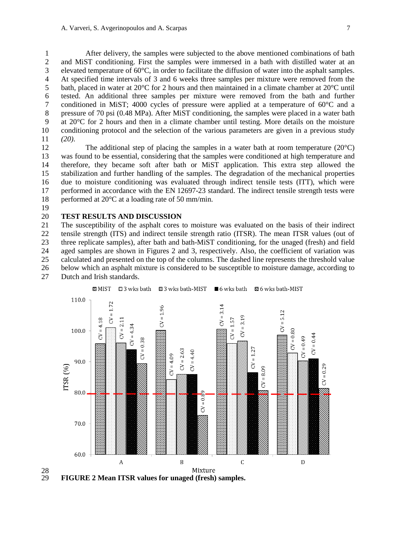After delivery, the samples were subjected to the above mentioned combinations of bath and MiST conditioning. First the samples were immersed in a bath with distilled water at an elevated temperature of 60°C, in order to facilitate the diffusion of water into the asphalt samples. At specified time intervals of 3 and 6 weeks three samples per mixture were removed from the 5 bath, placed in water at  $20^{\circ}$ C for 2 hours and then maintained in a climate chamber at  $20^{\circ}$ C until 6 tested. An additional three samples per mixture were removed from the bath and further conditioned in MiST; 4000 cycles of pressure were applied at a temperature of  $60^{\circ}$ C and a conditioned in MiST; 4000 cycles of pressure were applied at a temperature of  $60^{\circ}$ C and a pressure of 70 psi (0.48 MPa). After MiST conditioning, the samples were placed in a water bath at 20°C for 2 hours and then in a climate chamber until testing. More details on the moisture conditioning protocol and the selection of the various parameters are given in a previous study *(20)*.

12 The additional step of placing the samples in a water bath at room temperature  $(20^{\circ}C)$  was found to be essential, considering that the samples were conditioned at high temperature and therefore, they became soft after bath or MiST application. This extra step allowed the stabilization and further handling of the samples. The degradation of the mechanical properties due to moisture conditioning was evaluated through indirect tensile tests (ITT), which were 17 performed in accordance with the EN 12697-23 standard. The indirect tensile strength tests were performed at 20°C at a loading rate of 50 mm/min.

# **TEST RESULTS AND DISCUSSION**

 The susceptibility of the asphalt cores to moisture was evaluated on the basis of their indirect tensile strength (ITS) and indirect tensile strength ratio (ITSR). The mean ITSR values (out of three replicate samples), after bath and bath-MiST conditioning, for the unaged (fresh) and field aged samples are shown in Figures 2 and 3, respectively. Also, the coefficient of variation was calculated and presented on the top of the columns. The dashed line represents the threshold value below which an asphalt mixture is considered to be susceptible to moisture damage, according to Dutch and Irish standards.



 $\frac{28}{29}$ **FIGURE 2 Mean ITSR values for unaged (fresh) samples.**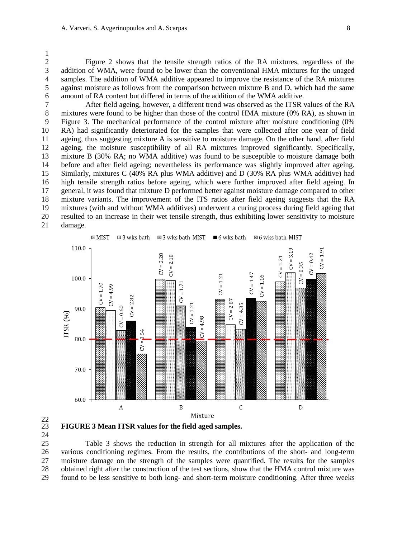Figure 2 shows that the tensile strength ratios of the RA mixtures, regardless of the addition of WMA, were found to be lower than the conventional HMA mixtures for the unaged samples. The addition of WMA additive appeared to improve the resistance of the RA mixtures against moisture as follows from the comparison between mixture B and D, which had the same 6 amount of RA content but differed in terms of the addition of the WMA additive.<br>7 After field ageing, however, a different trend was observed as the ITSR

After field ageing, however, a different trend was observed as the ITSR values of the RA mixtures were found to be higher than those of the control HMA mixture (0% RA), as shown in Figure 3. The mechanical performance of the control mixture after moisture conditioning (0% RA) had significantly deteriorated for the samples that were collected after one year of field ageing, thus suggesting mixture A is sensitive to moisture damage. On the other hand, after field ageing, the moisture susceptibility of all RA mixtures improved significantly. Specifically, mixture B (30% RA; no WMA additive) was found to be susceptible to moisture damage both before and after field ageing; nevertheless its performance was slightly improved after ageing. Similarly, mixtures C (40% RA plus WMA additive) and D (30% RA plus WMA additive) had high tensile strength ratios before ageing, which were further improved after field ageing. In general, it was found that mixture D performed better against moisture damage compared to other mixture variants. The improvement of the ITS ratios after field ageing suggests that the RA mixtures (with and without WMA additives) underwent a curing process during field ageing that resulted to an increase in their wet tensile strength, thus exhibiting lower sensitivity to moisture damage.



 $\frac{22}{23}$ 

**FIGURE 3 Mean ITSR values for the field aged samples.**

 Table 3 shows the reduction in strength for all mixtures after the application of the various conditioning regimes. From the results, the contributions of the short- and long-term moisture damage on the strength of the samples were quantified. The results for the samples obtained right after the construction of the test sections, show that the HMA control mixture was found to be less sensitive to both long- and short-term moisture conditioning. After three weeks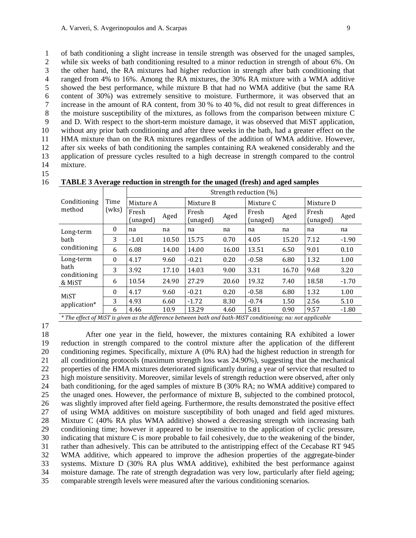of bath conditioning a slight increase in tensile strength was observed for the unaged samples, while six weeks of bath conditioning resulted to a minor reduction in strength of about 6%. On the other hand, the RA mixtures had higher reduction in strength after bath conditioning that ranged from 4% to 16%. Among the RA mixtures, the 30% RA mixture with a WMA additive showed the best performance, while mixture B that had no WMA additive (but the same RA 6 content of 30%) was extremely sensitive to moisture. Furthermore, it was observed that an increase in the amount of RA content, from 30 % to 40 %, did not result to great differences in increase in the amount of RA content, from 30 % to 40 %, did not result to great differences in the moisture susceptibility of the mixtures, as follows from the comparison between mixture C and D. With respect to the short-term moisture damage, it was observed that MiST application, without any prior bath conditioning and after three weeks in the bath, had a greater effect on the HMA mixture than on the RA mixtures regardless of the addition of WMA additive. However, after six weeks of bath conditioning the samples containing RA weakened considerably and the application of pressure cycles resulted to a high decrease in strength compared to the control mixture.

|                                                                                                                    | Time     | Strength reduction (%) |       |                   |       |                   |       |                   |         |  |
|--------------------------------------------------------------------------------------------------------------------|----------|------------------------|-------|-------------------|-------|-------------------|-------|-------------------|---------|--|
| Conditioning                                                                                                       |          | Mixture A              |       | Mixture B         |       | Mixture C         |       | Mixture D         |         |  |
| method                                                                                                             | (wks)    | Fresh<br>(unaged)      | Aged  | Fresh<br>(unaged) | Aged  | Fresh<br>(unaged) | Aged  | Fresh<br>(unaged) | Aged    |  |
| Long-term                                                                                                          | $\theta$ | na                     | na    | na                | na    | na                | na    | na                | na      |  |
| bath                                                                                                               | 3        | $-1.01$                | 10.50 | 15.75             | 0.70  | 4.05              | 15.20 | 7.12              | $-1.90$ |  |
| conditioning                                                                                                       | 6        | 6.08                   | 14.00 | 14.00             | 16.00 | 13.51             | 6.50  | 9.01              | 0.10    |  |
| Long-term                                                                                                          | $\theta$ | 4.17                   | 9.60  | $-0.21$           | 0.20  | $-0.58$           | 6.80  | 1.32              | 1.00    |  |
| bath<br>conditioning                                                                                               | 3        | 3.92                   | 17.10 | 14.03             | 9.00  | 3.31              | 16.70 | 9.68              | 3.20    |  |
| & MiST                                                                                                             | 6        | 10.54                  | 24.90 | 27.29             | 20.60 | 19.32             | 7.40  | 18.58             | $-1.70$ |  |
| MiST                                                                                                               | $\theta$ | 4.17                   | 9.60  | $-0.21$           | 0.20  | $-0.58$           | 6.80  | 1.32              | 1.00    |  |
| application*                                                                                                       | 3        | 4.93                   | 6.60  | $-1.72$           | 8.30  | $-0.74$           | 1.50  | 2.56              | 5.10    |  |
| $\star$ The effect of MCT is above as the difference hotelessed hathough hath MCT conditioning a second condition. | 6        | 4.46                   | 10.9  | 13.29             | 4.60  | 5.81              | 0.90  | 9.57              | $-1.80$ |  |

**TABLE 3 Average reduction in strength for the unaged (fresh) and aged samples**

*\* The effect of MiST is given as the difference between bath and bath-MiST conditioning; na: not applicable*

 After one year in the field, however, the mixtures containing RA exhibited a lower reduction in strength compared to the control mixture after the application of the different conditioning regimes. Specifically, mixture A (0% RA) had the highest reduction in strength for all conditioning protocols (maximum strength loss was 24.90%), suggesting that the mechanical properties of the HMA mixtures deteriorated significantly during a year of service that resulted to high moisture sensitivity. Moreover, similar levels of strength reduction were observed, after only bath conditioning, for the aged samples of mixture B (30% RA; no WMA additive) compared to the unaged ones. However, the performance of mixture B, subjected to the combined protocol, 26 was slightly improved after field ageing. Furthermore, the results demonstrated the positive effect<br>27 of using WMA additives on moisture susceptibility of both unaged and field aged mixtures. of using WMA additives on moisture susceptibility of both unaged and field aged mixtures. Mixture C (40% RA plus WMA additive) showed a decreasing strength with increasing bath conditioning time; however it appeared to be insensitive to the application of cyclic pressure, indicating that mixture C is more probable to fail cohesively, due to the weakening of the binder, rather than adhesively. This can be attributed to the antistripping effect of the Cecabase RT 945 WMA additive, which appeared to improve the adhesion properties of the aggregate-binder systems. Mixture D (30% RA plus WMA additive), exhibited the best performance against moisture damage. The rate of strength degradation was very low, particularly after field ageing; comparable strength levels were measured after the various conditioning scenarios.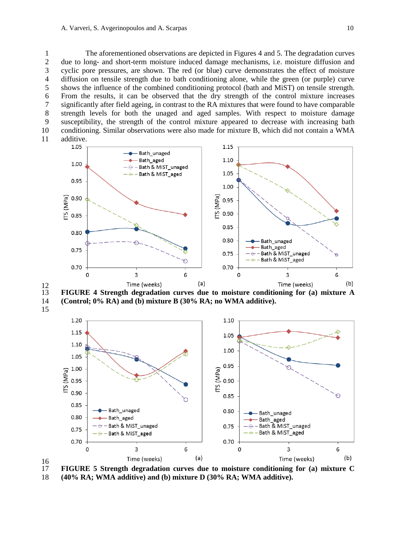The aforementioned observations are depicted in Figures 4 and 5. The degradation curves due to long- and short-term moisture induced damage mechanisms, i.e. moisture diffusion and cyclic pore pressures, are shown. The red (or blue) curve demonstrates the effect of moisture diffusion on tensile strength due to bath conditioning alone, while the green (or purple) curve shows the influence of the combined conditioning protocol (bath and MiST) on tensile strength. 6 From the results, it can be observed that the dry strength of the control mixture increases significantly after field ageing, in contrast to the RA mixtures that were found to have comparable significantly after field ageing, in contrast to the RA mixtures that were found to have comparable strength levels for both the unaged and aged samples. With respect to moisture damage susceptibility, the strength of the control mixture appeared to decrease with increasing bath conditioning. Similar observations were also made for mixture B, which did not contain a WMA







 $\frac{16}{17}$  **FIGURE 5 Strength degradation curves due to moisture conditioning for (a) mixture C (40% RA; WMA additive) and (b) mixture D (30% RA; WMA additive).**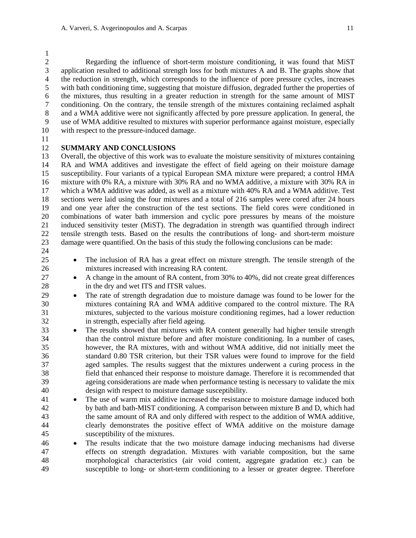Regarding the influence of short-term moisture conditioning, it was found that MiST application resulted to additional strength loss for both mixtures A and B. The graphs show that the reduction in strength, which corresponds to the influence of pore pressure cycles, increases with bath conditioning time, suggesting that moisture diffusion, degraded further the properties of 6 the mixtures, thus resulting in a greater reduction in strength for the same amount of MIST<br>7 conditioning. On the contrary, the tensile strength of the mixtures containing reclaimed asphalt conditioning. On the contrary, the tensile strength of the mixtures containing reclaimed asphalt and a WMA additive were not significantly affected by pore pressure application. In general, the use of WMA additive resulted to mixtures with superior performance against moisture, especially with respect to the pressure-induced damage.

## **SUMMARY AND CONCLUSIONS**

13 Overall, the objective of this work was to evaluate the moisture sensitivity of mixtures containing<br>14 RA and WMA additives and investigate the effect of field ageing on their moisture damage RA and WMA additives and investigate the effect of field ageing on their moisture damage susceptibility. Four variants of a typical European SMA mixture were prepared; a control HMA mixture with 0% RA, a mixture with 30% RA and no WMA additive, a mixture with 30% RA in which a WMA additive was added, as well as a mixture with 40% RA and a WMA additive. Test sections were laid using the four mixtures and a total of 216 samples were cored after 24 hours and one year after the construction of the test sections. The field cores were conditioned in 20 combinations of water bath immersion and cyclic pore pressures by means of the moisture<br>21 induced sensitivity tester (MiST). The degradation in strength was quantified through indirect induced sensitivity tester (MiST). The degradation in strength was quantified through indirect tensile strength tests. Based on the results the contributions of long- and short-term moisture damage were quantified. On the basis of this study the following conclusions can be made:

- 
- The inclusion of RA has a great effect on mixture strength. The tensile strength of the mixtures increased with increasing RA content.
- 27 A change in the amount of RA content, from 30% to 40%, did not create great differences 28 in the dry and wet ITS and ITSR values.
- The rate of strength degradation due to moisture damage was found to be lower for the mixtures containing RA and WMA additive compared to the control mixture. The RA mixtures, subjected to the various moisture conditioning regimes, had a lower reduction in strength, especially after field ageing.
- <sup>33</sup> The results showed that mixtures with RA content generally had higher tensile strength than the control mixture before and after moisture conditioning. In a number of cases, however, the RA mixtures, with and without WMA additive, did not initially meet the standard 0.80 TSR criterion, but their TSR values were found to improve for the field aged samples. The results suggest that the mixtures underwent a curing process in the field that enhanced their response to moisture damage. Therefore it is recommended that ageing considerations are made when performance testing is necessary to validate the mix design with respect to moisture damage susceptibility.
- The use of warm mix additive increased the resistance to moisture damage induced both by bath and bath-MIST conditioning. A comparison between mixture B and D, which had the same amount of RA and only differed with respect to the addition of WMA additive, clearly demonstrates the positive effect of WMA additive on the moisture damage susceptibility of the mixtures.
- The results indicate that the two moisture damage inducing mechanisms had diverse effects on strength degradation. Mixtures with variable composition, but the same morphological characteristics (air void content, aggregate gradation etc.) can be susceptible to long- or short-term conditioning to a lesser or greater degree. Therefore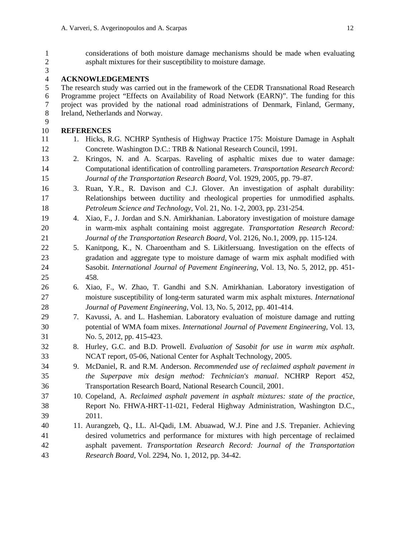| $\mathbf{1}$<br>$\mathfrak{2}$ |    | considerations of both moisture damage mechanisms should be made when evaluating<br>asphalt mixtures for their susceptibility to moisture damage.       |
|--------------------------------|----|---------------------------------------------------------------------------------------------------------------------------------------------------------|
| 3<br>$\overline{4}$            |    | <b>ACKNOWLEDGEMENTS</b>                                                                                                                                 |
| 5                              |    | The research study was carried out in the framework of the CEDR Transnational Road Research                                                             |
| 6                              |    | Programme project "Effects on Availability of Road Network (EARN)". The funding for this                                                                |
| 7                              |    | project was provided by the national road administrations of Denmark, Finland, Germany,                                                                 |
| 8                              |    | Ireland, Netherlands and Norway.                                                                                                                        |
| 9                              |    |                                                                                                                                                         |
| 10                             |    | <b>REFERENCES</b>                                                                                                                                       |
| 11<br>12                       |    | 1. Hicks, R.G. NCHRP Synthesis of Highway Practice 175: Moisture Damage in Asphalt<br>Concrete. Washington D.C.: TRB & National Research Council, 1991. |
| 13                             | 2. | Kringos, N. and A. Scarpas. Raveling of asphaltic mixes due to water damage:                                                                            |
| 14                             |    | Computational identification of controlling parameters. Transportation Research Record:                                                                 |
| 15                             |    | Journal of the Transportation Research Board, Vol. 1929, 2005, pp. 79–87.                                                                               |
| 16                             | 3. | Ruan, Y.R., R. Davison and C.J. Glover. An investigation of asphalt durability:                                                                         |
| 17                             |    | Relationships between ductility and rheological properties for unmodified asphalts.                                                                     |
| 18                             |    | Petroleum Science and Technology, Vol. 21, No. 1-2, 2003, pp. 231-254.                                                                                  |
| 19                             | 4. | Xiao, F., J. Jordan and S.N. Amirkhanian. Laboratory investigation of moisture damage                                                                   |
| 20                             |    | in warm-mix asphalt containing moist aggregate. Transportation Research Record:                                                                         |
| 21                             |    | Journal of the Transportation Research Board, Vol. 2126, No.1, 2009, pp. 115-124.                                                                       |
| 22                             |    | 5. Kanitpong, K., N. Charoentham and S. Likitlersuang. Investigation on the effects of                                                                  |
| 23                             |    | gradation and aggregate type to moisture damage of warm mix asphalt modified with                                                                       |
| 24                             |    | Sasobit. International Journal of Pavement Engineering, Vol. 13, No. 5, 2012, pp. 451-                                                                  |
| 25                             |    | 458.                                                                                                                                                    |
| 26                             | 6. | Xiao, F., W. Zhao, T. Gandhi and S.N. Amirkhanian. Laboratory investigation of                                                                          |
| 27                             |    | moisture susceptibility of long-term saturated warm mix asphalt mixtures. International                                                                 |
| 28                             |    | Journal of Pavement Engineering, Vol. 13, No. 5, 2012, pp. 401-414.                                                                                     |
| 29                             | 7. | Kavussi, A. and L. Hashemian. Laboratory evaluation of moisture damage and rutting                                                                      |
| 30                             |    | potential of WMA foam mixes. International Journal of Pavement Engineering, Vol. 13,                                                                    |
| 31                             |    | No. 5, 2012, pp. 415-423.                                                                                                                               |
| 32                             | 8. | Hurley, G.C. and B.D. Prowell. Evaluation of Sasobit for use in warm mix asphalt.                                                                       |
| 33                             |    | NCAT report, 05-06, National Center for Asphalt Technology, 2005.                                                                                       |
| 34                             | 9. | McDaniel, R. and R.M. Anderson. Recommended use of reclaimed asphalt pavement in                                                                        |
| 35                             |    | the Superpave mix design method: Technician's manual. NCHRP Report 452,                                                                                 |
| 36                             |    | Transportation Research Board, National Research Council, 2001.                                                                                         |
| 37                             |    | 10. Copeland, A. Reclaimed asphalt pavement in asphalt mixtures: state of the practice,                                                                 |
| 38                             |    | Report No. FHWA-HRT-11-021, Federal Highway Administration, Washington D.C.,                                                                            |
| 39                             |    | 2011.                                                                                                                                                   |
| 40                             |    | 11. Aurangzeb, Q., I.L. Al-Qadi, I.M. Abuawad, W.J. Pine and J.S. Trepanier. Achieving                                                                  |
| 41                             |    | desired volumetrics and performance for mixtures with high percentage of reclaimed                                                                      |
| 42                             |    | asphalt pavement. Transportation Research Record: Journal of the Transportation                                                                         |

*Research Board*, Vol. 2294, No. 1, 2012, pp. 34-42.